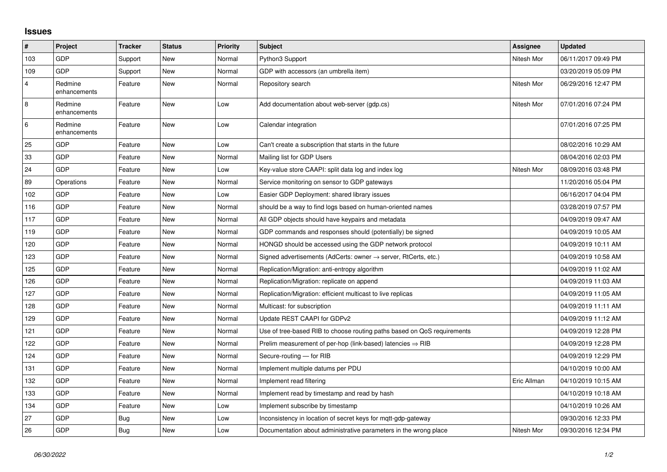## **Issues**

| #              | Project                 | <b>Tracker</b> | <b>Status</b> | <b>Priority</b> | <b>Subject</b>                                                             | <b>Assignee</b> | <b>Updated</b>      |
|----------------|-------------------------|----------------|---------------|-----------------|----------------------------------------------------------------------------|-----------------|---------------------|
| 103            | GDP                     | Support        | <b>New</b>    | Normal          | Python3 Support                                                            | Nitesh Mor      | 06/11/2017 09:49 PM |
| 109            | GDP                     | Support        | New           | Normal          | GDP with accessors (an umbrella item)                                      |                 | 03/20/2019 05:09 PM |
| $\overline{4}$ | Redmine<br>enhancements | Feature        | New           | Normal          | Repository search                                                          | Nitesh Mor      | 06/29/2016 12:47 PM |
| 8              | Redmine<br>enhancements | Feature        | <b>New</b>    | Low             | Add documentation about web-server (gdp.cs)                                | Nitesh Mor      | 07/01/2016 07:24 PM |
| 6              | Redmine<br>enhancements | Feature        | <b>New</b>    | Low             | Calendar integration                                                       |                 | 07/01/2016 07:25 PM |
| 25             | GDP                     | Feature        | <b>New</b>    | Low             | Can't create a subscription that starts in the future                      |                 | 08/02/2016 10:29 AM |
| 33             | GDP                     | Feature        | New           | Normal          | Mailing list for GDP Users                                                 |                 | 08/04/2016 02:03 PM |
| 24             | <b>GDP</b>              | Feature        | <b>New</b>    | Low             | Key-value store CAAPI: split data log and index log                        | Nitesh Mor      | 08/09/2016 03:48 PM |
| 89             | Operations              | Feature        | <b>New</b>    | Normal          | Service monitoring on sensor to GDP gateways                               |                 | 11/20/2016 05:04 PM |
| 102            | GDP                     | Feature        | New           | Low             | Easier GDP Deployment: shared library issues                               |                 | 06/16/2017 04:04 PM |
| 116            | GDP                     | Feature        | <b>New</b>    | Normal          | should be a way to find logs based on human-oriented names                 |                 | 03/28/2019 07:57 PM |
| 117            | GDP                     | Feature        | <b>New</b>    | Normal          | All GDP objects should have keypairs and metadata                          |                 | 04/09/2019 09:47 AM |
| 119            | GDP                     | Feature        | New           | Normal          | GDP commands and responses should (potentially) be signed                  |                 | 04/09/2019 10:05 AM |
| 120            | GDP                     | Feature        | <b>New</b>    | Normal          | HONGD should be accessed using the GDP network protocol                    |                 | 04/09/2019 10:11 AM |
| 123            | GDP                     | Feature        | <b>New</b>    | Normal          | Signed advertisements (AdCerts: owner $\rightarrow$ server, RtCerts, etc.) |                 | 04/09/2019 10:58 AM |
| 125            | GDP                     | Feature        | <b>New</b>    | Normal          | Replication/Migration: anti-entropy algorithm                              |                 | 04/09/2019 11:02 AM |
| 126            | GDP                     | Feature        | <b>New</b>    | Normal          | Replication/Migration: replicate on append                                 |                 | 04/09/2019 11:03 AM |
| 127            | GDP                     | Feature        | New           | Normal          | Replication/Migration: efficient multicast to live replicas                |                 | 04/09/2019 11:05 AM |
| 128            | GDP                     | Feature        | <b>New</b>    | Normal          | Multicast: for subscription                                                |                 | 04/09/2019 11:11 AM |
| 129            | GDP                     | Feature        | <b>New</b>    | Normal          | Update REST CAAPI for GDPv2                                                |                 | 04/09/2019 11:12 AM |
| 121            | GDP                     | Feature        | New           | Normal          | Use of tree-based RIB to choose routing paths based on QoS requirements    |                 | 04/09/2019 12:28 PM |
| 122            | GDP                     | Feature        | <b>New</b>    | Normal          | Prelim measurement of per-hop (link-based) latencies $\Rightarrow$ RIB     |                 | 04/09/2019 12:28 PM |
| 124            | GDP                     | Feature        | <b>New</b>    | Normal          | Secure-routing - for RIB                                                   |                 | 04/09/2019 12:29 PM |
| 131            | GDP                     | Feature        | New           | Normal          | Implement multiple datums per PDU                                          |                 | 04/10/2019 10:00 AM |
| 132            | GDP                     | Feature        | <b>New</b>    | Normal          | Implement read filtering                                                   | Eric Allman     | 04/10/2019 10:15 AM |
| 133            | GDP                     | Feature        | <b>New</b>    | Normal          | Implement read by timestamp and read by hash                               |                 | 04/10/2019 10:18 AM |
| 134            | GDP                     | Feature        | New           | Low             | Implement subscribe by timestamp                                           |                 | 04/10/2019 10:26 AM |
| 27             | GDP                     | <b>Bug</b>     | <b>New</b>    | Low             | Inconsistency in location of secret keys for mqtt-gdp-gateway              |                 | 09/30/2016 12:33 PM |
| 26             | GDP                     | <b>Bug</b>     | <b>New</b>    | Low             | Documentation about administrative parameters in the wrong place           | Nitesh Mor      | 09/30/2016 12:34 PM |